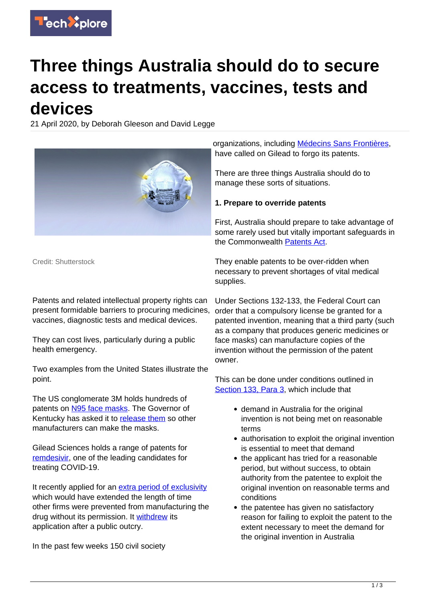

## **Three things Australia should do to secure access to treatments, vaccines, tests and devices**

21 April 2020, by Deborah Gleeson and David Legge



Credit: Shutterstock

Patents and related intellectual property rights can present formidable barriers to procuring medicines, vaccines, diagnostic tests and medical devices.

They can cost lives, particularly during a public health emergency.

Two examples from the United States illustrate the point.

The US conglomerate 3M holds hundreds of patents on [N95 face masks.](https://www.msn.com/en-us/news/politics/trump-urged-to-limit-patent-rights-on-ventilators-treatments/ar-BB12n7Qy) The Governor of Kentucky has asked it to [release them](https://www.courier-journal.com/story/news/2020/04/03/beshear-calls-3-m-release-patent-n-95-respirator-amid-pandemic/5112729002/) so other manufacturers can make the masks.

Gilead Sciences holds a range of patents for [remdesivir](https://www.drugs.com/history/remdesivir.html), one of the leading candidates for treating COVID-19.

It recently applied for an [extra period of exclusivity](https://www.npr.org/sections/health-shots/2020/03/24/821035311/fda-grants-experimental-coronavirus-drug-benefits-for-rare-disease-treatments) which would have extended the length of time other firms were prevented from manufacturing the drug without its permission. It [withdrew](https://www.gilead.com/-/media/gilead-corporate/files/pdfs/company-statements/remdesivir-orphan-drug-designation.pdf?la=en&hash=ED14BC7B26E2FEAA2E31E7741A8C9692) its application after a public outcry.

In the past few weeks 150 civil society

organizations, including [Médecins Sans Frontières](https://msfaccess.org/open-letter-civil-society-urges-gilead-take-immediate-action-ensure-access-potential-COVID-19), have called on Gilead to forgo its patents.

There are three things Australia should do to manage these sorts of situations.

## **1. Prepare to override patents**

First, Australia should prepare to take advantage of some rarely used but vitally important safeguards in the Commonwealth [Patents Act.](http://www5.austlii.edu.au/au/legis/cth/consol_act/pa1990109/index.html)

They enable patents to be over-ridden when necessary to prevent shortages of vital medical supplies.

Under Sections 132-133, the Federal Court can order that a compulsory license be granted for a patented invention, meaning that a third party (such as a company that produces generic medicines or face masks) can manufacture copies of the invention without the permission of the patent owner.

This can be done under conditions outlined in [Section 133, Para 3](http://www5.austlii.edu.au/au/legis/cth/consol_act/pa1990109/s133.html), which include that

- demand in Australia for the original invention is not being met on reasonable terms
- authorisation to exploit the original invention is essential to meet that demand
- the applicant has tried for a reasonable period, but without success, to obtain authority from the patentee to exploit the original invention on reasonable terms and conditions
- the patentee has given no satisfactory reason for failing to exploit the patent to the extent necessary to meet the demand for the original invention in Australia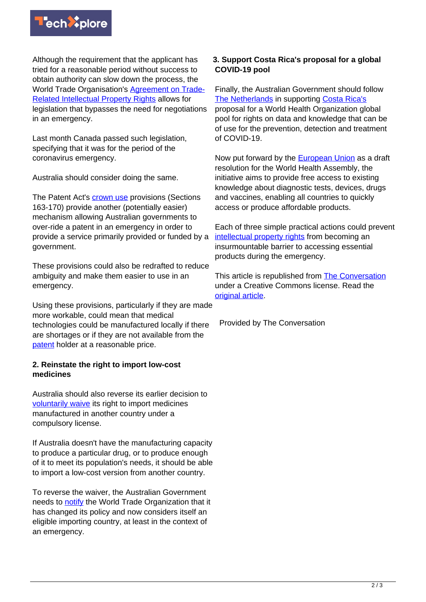

Although the requirement that the applicant has tried for a reasonable period without success to obtain authority can slow down the process, the World Trade Organisation's [Agreement on Trade-](https://www.wto.org/english/tratop_e/trips_e/intel2_e.htm)[Related Intellectual Property Rights](https://www.wto.org/english/tratop_e/trips_e/intel2_e.htm) allows for legislation that bypasses the need for negotiations in an emergency.

Last month Canada passed such legislation, specifying that it was for the period of the coronavirus emergency.

Australia should consider doing the same.

The Patent Act's **crown use** provisions (Sections 163-170) provide another (potentially easier) mechanism allowing Australian governments to over-ride a patent in an emergency in order to provide a service primarily provided or funded by a government.

These provisions could also be redrafted to reduce ambiguity and make them easier to use in an emergency.

Using these provisions, particularly if they are made more workable, could mean that medical technologies could be manufactured locally if there are shortages or if they are not available from the [patent](https://techxplore.com/tags/patent/) holder at a reasonable price.

## **2. Reinstate the right to import low-cost medicines**

Australia should also reverse its earlier decision to [voluntarily waive](https://www.keionline.org/32707) its right to import medicines manufactured in another country under a compulsory license.

If Australia doesn't have the manufacturing capacity to produce a particular drug, or to produce enough of it to meet its population's needs, it should be able to import a low-cost version from another country.

To reverse the waiver, the Australian Government needs to [notify](https://www.keionline.org/32707) the World Trade Organization that it has changed its policy and now considers itself an eligible importing country, at least in the context of an emergency.

## **3. Support Costa Rica's proposal for a global COVID-19 pool**

Finally, the Australian Government should follow [The Netherlands](https://www.healthpolicy-watch.org/the-netherlands-joins-COVID-19-ip-pool-initiative-kentucky-governor-requests-3m-release-n95-patent/) in supporting [Costa Rica's](https://www.presidencia.go.cr/comunicados/2020/03/costa-rica-submits-proposal-for-who-to-facilitate-access-to-technologies-to-combat-COVID-19/) proposal for a World Health Organization global pool for rights on data and knowledge that can be of use for the prevention, detection and treatment of COVID-19.

Now put forward by the [European Union](https://www.statnews.com/pharmalot/2020/04/16/european-union-who-voluntary-pool-COVID19-coronavirus/) as a draft resolution for the World Health Assembly, the initiative aims to provide free access to existing knowledge about diagnostic tests, devices, drugs and vaccines, enabling all countries to quickly access or produce affordable products.

Each of three simple practical actions could prevent [intellectual property rights](https://techxplore.com/tags/intellectual+property+rights/) from becoming an insurmountable barrier to accessing essential products during the emergency.

This article is republished from **[The Conversation](https://theconversation.com)** under a Creative Commons license. Read the [original article](https://theconversation.com/three-simple-things-australia-should-do-to-secure-access-to-treatments-vaccines-tests-and-devices-during-the-coronavirus-crisis-136052).

Provided by The Conversation